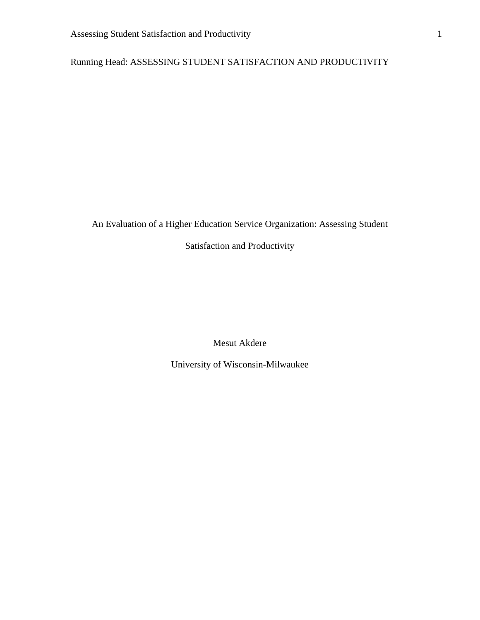Running Head: ASSESSING STUDENT SATISFACTION AND PRODUCTIVITY

# An Evaluation of a Higher Education Service Organization: Assessing Student

# Satisfaction and Productivity

Mesut Akdere

University of Wisconsin-Milwaukee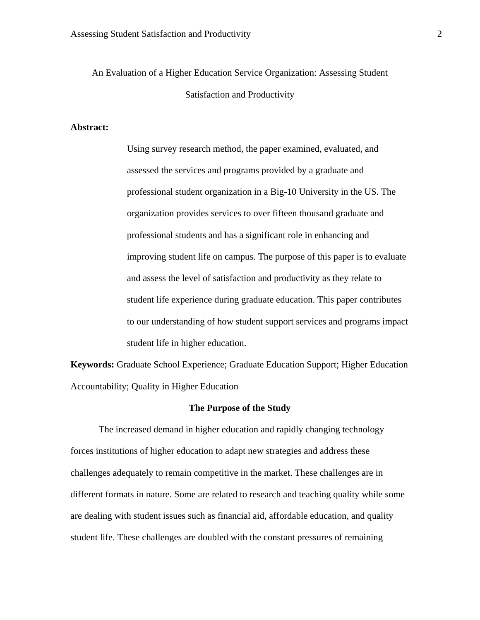An Evaluation of a Higher Education Service Organization: Assessing Student Satisfaction and Productivity

# **Abstract:**

Using survey research method, the paper examined, evaluated, and assessed the services and programs provided by a graduate and professional student organization in a Big-10 University in the US. The organization provides services to over fifteen thousand graduate and professional students and has a significant role in enhancing and improving student life on campus. The purpose of this paper is to evaluate and assess the level of satisfaction and productivity as they relate to student life experience during graduate education. This paper contributes to our understanding of how student support services and programs impact student life in higher education.

**Keywords:** Graduate School Experience; Graduate Education Support; Higher Education Accountability; Quality in Higher Education

## **The Purpose of the Study**

The increased demand in higher education and rapidly changing technology forces institutions of higher education to adapt new strategies and address these challenges adequately to remain competitive in the market. These challenges are in different formats in nature. Some are related to research and teaching quality while some are dealing with student issues such as financial aid, affordable education, and quality student life. These challenges are doubled with the constant pressures of remaining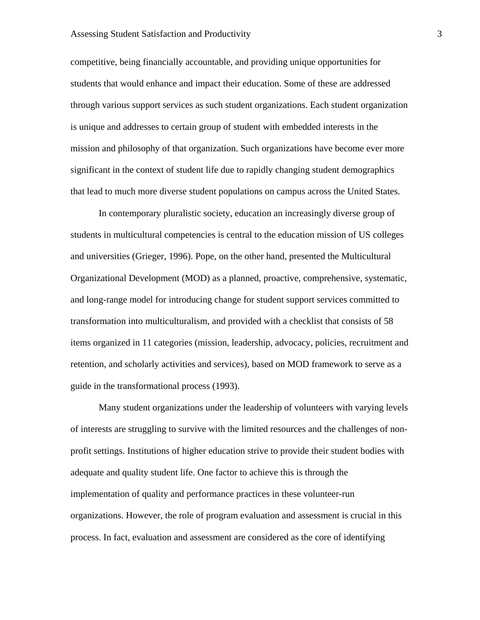# Assessing Student Satisfaction and Productivity 3

competitive, being financially accountable, and providing unique opportunities for students that would enhance and impact their education. Some of these are addressed through various support services as such student organizations. Each student organization is unique and addresses to certain group of student with embedded interests in the mission and philosophy of that organization. Such organizations have become ever more significant in the context of student life due to rapidly changing student demographics that lead to much more diverse student populations on campus across the United States.

In contemporary pluralistic society, education an increasingly diverse group of students in multicultural competencies is central to the education mission of US colleges and universities (Grieger, 1996). Pope, on the other hand, presented the Multicultural Organizational Development (MOD) as a planned, proactive, comprehensive, systematic, and long-range model for introducing change for student support services committed to transformation into multiculturalism, and provided with a checklist that consists of 58 items organized in 11 categories (mission, leadership, advocacy, policies, recruitment and retention, and scholarly activities and services), based on MOD framework to serve as a guide in the transformational process (1993).

Many student organizations under the leadership of volunteers with varying levels of interests are struggling to survive with the limited resources and the challenges of nonprofit settings. Institutions of higher education strive to provide their student bodies with adequate and quality student life. One factor to achieve this is through the implementation of quality and performance practices in these volunteer-run organizations. However, the role of program evaluation and assessment is crucial in this process. In fact, evaluation and assessment are considered as the core of identifying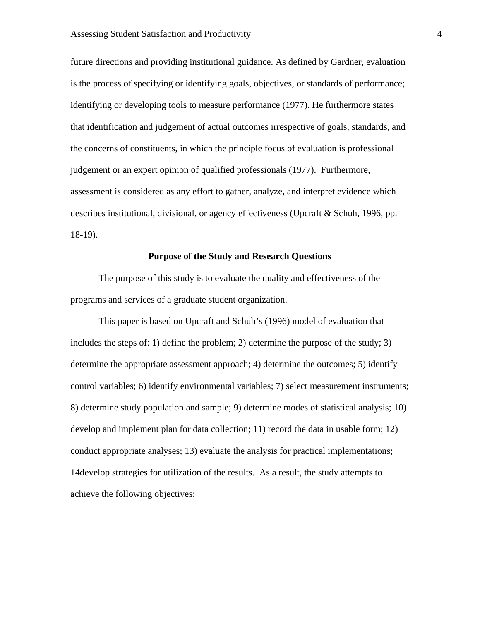future directions and providing institutional guidance. As defined by Gardner, evaluation is the process of specifying or identifying goals, objectives, or standards of performance; identifying or developing tools to measure performance (1977). He furthermore states that identification and judgement of actual outcomes irrespective of goals, standards, and the concerns of constituents, in which the principle focus of evaluation is professional judgement or an expert opinion of qualified professionals (1977). Furthermore, assessment is considered as any effort to gather, analyze, and interpret evidence which describes institutional, divisional, or agency effectiveness (Upcraft & Schuh, 1996, pp. 18-19).

# **Purpose of the Study and Research Questions**

 The purpose of this study is to evaluate the quality and effectiveness of the programs and services of a graduate student organization.

This paper is based on Upcraft and Schuh's (1996) model of evaluation that includes the steps of: 1) define the problem; 2) determine the purpose of the study; 3) determine the appropriate assessment approach; 4) determine the outcomes; 5) identify control variables; 6) identify environmental variables; 7) select measurement instruments; 8) determine study population and sample; 9) determine modes of statistical analysis; 10) develop and implement plan for data collection; 11) record the data in usable form; 12) conduct appropriate analyses; 13) evaluate the analysis for practical implementations; 14develop strategies for utilization of the results. As a result, the study attempts to achieve the following objectives: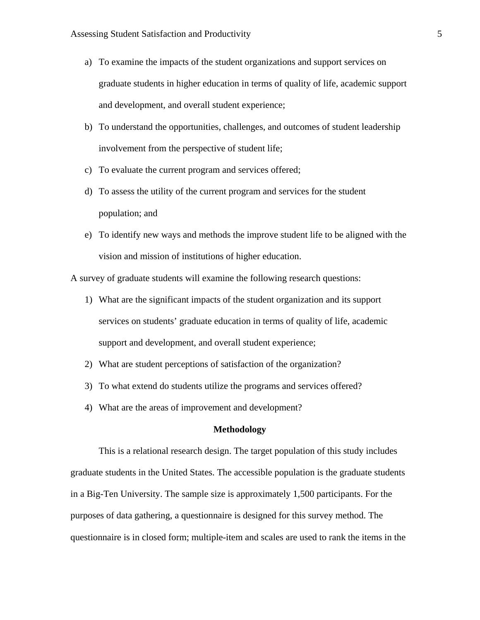- a) To examine the impacts of the student organizations and support services on graduate students in higher education in terms of quality of life, academic support and development, and overall student experience;
- b) To understand the opportunities, challenges, and outcomes of student leadership involvement from the perspective of student life;
- c) To evaluate the current program and services offered;
- d) To assess the utility of the current program and services for the student population; and
- e) To identify new ways and methods the improve student life to be aligned with the vision and mission of institutions of higher education.

A survey of graduate students will examine the following research questions:

- 1) What are the significant impacts of the student organization and its support services on students' graduate education in terms of quality of life, academic support and development, and overall student experience;
- 2) What are student perceptions of satisfaction of the organization?
- 3) To what extend do students utilize the programs and services offered?
- 4) What are the areas of improvement and development?

## **Methodology**

This is a relational research design. The target population of this study includes graduate students in the United States. The accessible population is the graduate students in a Big-Ten University. The sample size is approximately 1,500 participants. For the purposes of data gathering, a questionnaire is designed for this survey method. The questionnaire is in closed form; multiple-item and scales are used to rank the items in the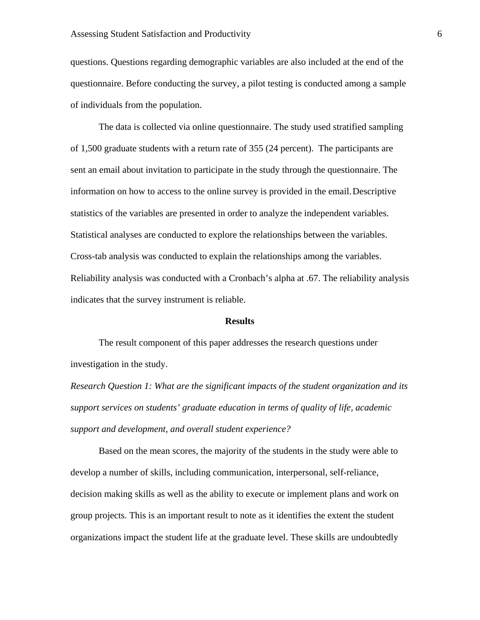questions. Questions regarding demographic variables are also included at the end of the questionnaire. Before conducting the survey, a pilot testing is conducted among a sample of individuals from the population.

 The data is collected via online questionnaire. The study used stratified sampling of 1,500 graduate students with a return rate of 355 (24 percent). The participants are sent an email about invitation to participate in the study through the questionnaire. The information on how to access to the online survey is provided in the email. Descriptive statistics of the variables are presented in order to analyze the independent variables. Statistical analyses are conducted to explore the relationships between the variables. Cross-tab analysis was conducted to explain the relationships among the variables. Reliability analysis was conducted with a Cronbach's alpha at .67. The reliability analysis indicates that the survey instrument is reliable.

#### **Results**

 The result component of this paper addresses the research questions under investigation in the study.

*Research Question 1: What are the significant impacts of the student organization and its support services on students' graduate education in terms of quality of life, academic support and development, and overall student experience?* 

Based on the mean scores, the majority of the students in the study were able to develop a number of skills, including communication, interpersonal, self-reliance, decision making skills as well as the ability to execute or implement plans and work on group projects. This is an important result to note as it identifies the extent the student organizations impact the student life at the graduate level. These skills are undoubtedly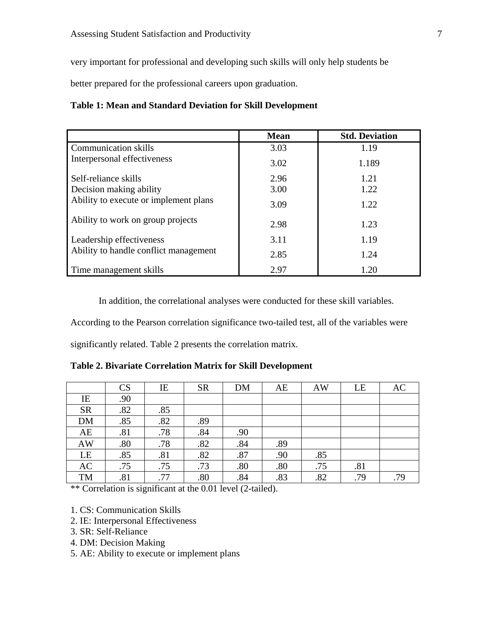very important for professional and developing such skills will only help students be

better prepared for the professional careers upon graduation.

# **Table 1: Mean and Standard Deviation for Skill Development**

|                                       | <b>Mean</b> | <b>Std. Deviation</b> |
|---------------------------------------|-------------|-----------------------|
| <b>Communication skills</b>           | 3.03        | 1.19                  |
| Interpersonal effectiveness           | 3.02        | 1.189                 |
| Self-reliance skills                  | 2.96        | 1.21                  |
| Decision making ability               | 3.00        | 1.22                  |
| Ability to execute or implement plans | 3.09        | 1.22                  |
| Ability to work on group projects     | 2.98        | 1.23                  |
| Leadership effectiveness              | 3.11        | 1.19                  |
| Ability to handle conflict management | 2.85        | 1.24                  |
| Time management skills                | 2.97        | 1.20                  |

In addition, the correlational analyses were conducted for these skill variables.

According to the Pearson correlation significance two-tailed test, all of the variables were

significantly related. Table 2 presents the correlation matrix.

**Table 2. Bivariate Correlation Matrix for Skill Development** 

|            | <b>CS</b> | IE  | <b>SR</b> | <b>DM</b> | AE  | <b>AW</b> | LE  | AC  |
|------------|-----------|-----|-----------|-----------|-----|-----------|-----|-----|
| IE         | .90       |     |           |           |     |           |     |     |
| ${\sf SR}$ | .82       | .85 |           |           |     |           |     |     |
| $DM$       | .85       | .82 | .89       |           |     |           |     |     |
| AE         | .81       | .78 | .84       | .90       |     |           |     |     |
| AW         | .80       | .78 | .82       | .84       | .89 |           |     |     |
| LE         | .85       | .81 | .82       | .87       | .90 | .85       |     |     |
| AC         | .75       | .75 | .73       | .80       | .80 | .75       | .81 |     |
| TM         | .81       | .77 | .80       | .84       | .83 | .82       | .79 | .79 |

\*\* Correlation is significant at the 0.01 level (2-tailed).

1. CS: Communication Skills

- 2. IE: Interpersonal Effectiveness
- 3. SR: Self-Reliance
- 4. DM: Decision Making

5. AE: Ability to execute or implement plans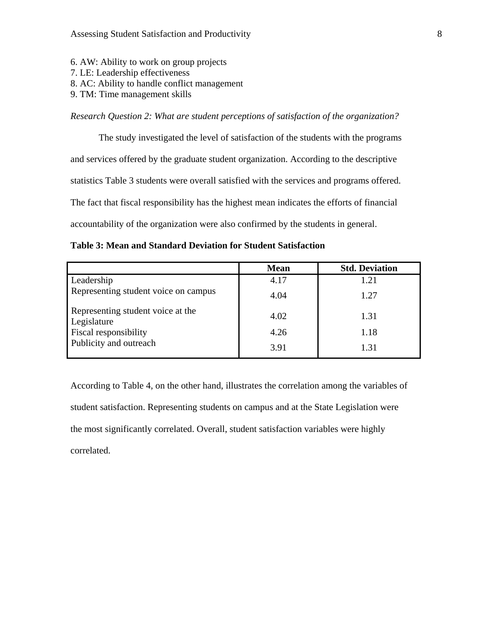- 6. AW: Ability to work on group projects
- 7. LE: Leadership effectiveness
- 8. AC: Ability to handle conflict management
- 9. TM: Time management skills

*Research Question 2: What are student perceptions of satisfaction of the organization?* 

The study investigated the level of satisfaction of the students with the programs and services offered by the graduate student organization. According to the descriptive statistics Table 3 students were overall satisfied with the services and programs offered. The fact that fiscal responsibility has the highest mean indicates the efforts of financial accountability of the organization were also confirmed by the students in general.

|                                                  | <b>Mean</b> | <b>Std. Deviation</b> |
|--------------------------------------------------|-------------|-----------------------|
| Leadership                                       | 4.17        | 1.21                  |
| Representing student voice on campus             | 4.04        | 1.27                  |
| Representing student voice at the<br>Legislature | 4.02        | 1.31                  |
| Fiscal responsibility                            | 4.26        | 1.18                  |
| Publicity and outreach                           | 3.91        | 1.31                  |

According to Table 4, on the other hand, illustrates the correlation among the variables of student satisfaction. Representing students on campus and at the State Legislation were the most significantly correlated. Overall, student satisfaction variables were highly correlated.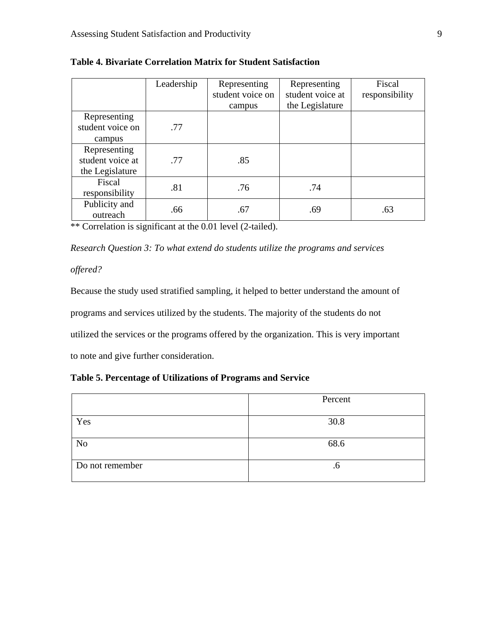|                  | Leadership | Representing     | Representing     | Fiscal         |
|------------------|------------|------------------|------------------|----------------|
|                  |            | student voice on | student voice at | responsibility |
|                  |            | campus           | the Legislature  |                |
| Representing     |            |                  |                  |                |
| student voice on | .77        |                  |                  |                |
| campus           |            |                  |                  |                |
| Representing     |            |                  |                  |                |
| student voice at | .77        | .85              |                  |                |
| the Legislature  |            |                  |                  |                |
| Fiscal           | .81        | .76              | .74              |                |
| responsibility   |            |                  |                  |                |
| Publicity and    |            |                  |                  |                |
| outreach         | .66        | .67              | .69              | .63            |

**Table 4. Bivariate Correlation Matrix for Student Satisfaction**

\*\* Correlation is significant at the 0.01 level (2-tailed).

*Research Question 3: To what extend do students utilize the programs and services* 

*offered?* 

Because the study used stratified sampling, it helped to better understand the amount of programs and services utilized by the students. The majority of the students do not utilized the services or the programs offered by the organization. This is very important to note and give further consideration.

# **Table 5. Percentage of Utilizations of Programs and Service**

|                 | Percent |
|-----------------|---------|
|                 |         |
| Yes             | 30.8    |
|                 |         |
| N <sub>o</sub>  | 68.6    |
|                 |         |
| Do not remember | .o      |
|                 |         |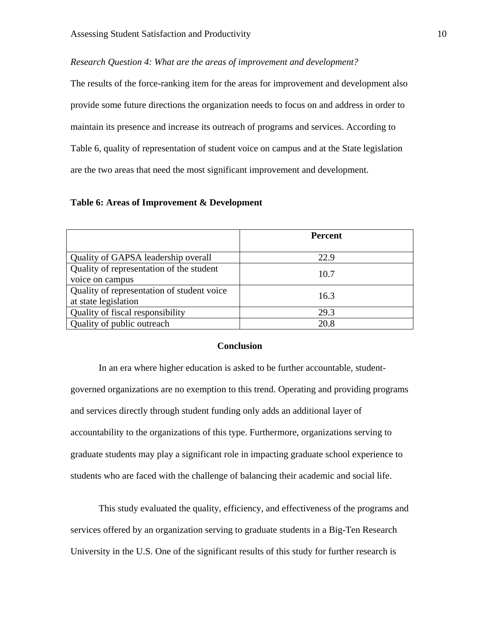*Research Question 4: What are the areas of improvement and development?* 

The results of the force-ranking item for the areas for improvement and development also provide some future directions the organization needs to focus on and address in order to maintain its presence and increase its outreach of programs and services. According to Table 6, quality of representation of student voice on campus and at the State legislation are the two areas that need the most significant improvement and development.

### **Table 6: Areas of Improvement & Development**

|                                            | <b>Percent</b> |  |
|--------------------------------------------|----------------|--|
|                                            |                |  |
| Quality of GAPSA leadership overall        | 22.9           |  |
| Quality of representation of the student   |                |  |
| voice on campus                            | 10.7           |  |
| Quality of representation of student voice | 16.3           |  |
| at state legislation                       |                |  |
| Quality of fiscal responsibility           | 29.3           |  |
| Quality of public outreach                 | 20.8           |  |

# **Conclusion**

 In an era where higher education is asked to be further accountable, studentgoverned organizations are no exemption to this trend. Operating and providing programs and services directly through student funding only adds an additional layer of accountability to the organizations of this type. Furthermore, organizations serving to graduate students may play a significant role in impacting graduate school experience to students who are faced with the challenge of balancing their academic and social life.

 This study evaluated the quality, efficiency, and effectiveness of the programs and services offered by an organization serving to graduate students in a Big-Ten Research University in the U.S. One of the significant results of this study for further research is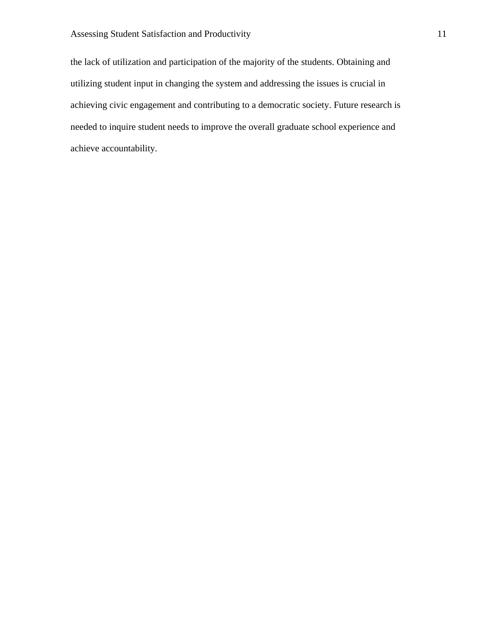the lack of utilization and participation of the majority of the students. Obtaining and utilizing student input in changing the system and addressing the issues is crucial in achieving civic engagement and contributing to a democratic society. Future research is needed to inquire student needs to improve the overall graduate school experience and achieve accountability.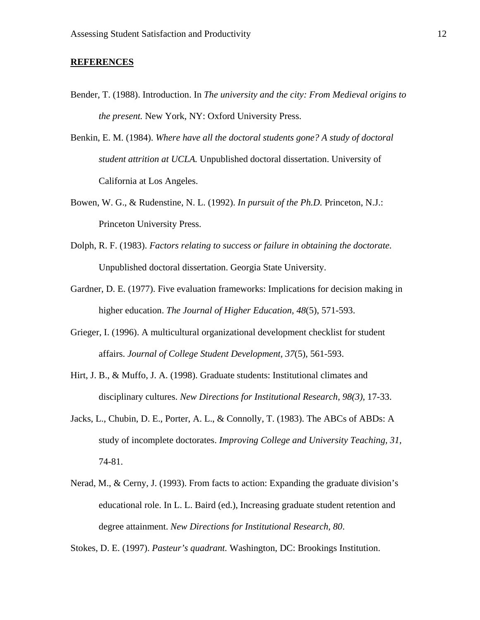## **REFERENCES**

- Bender, T. (1988). Introduction. In *The university and the city: From Medieval origins to the present.* New York, NY: Oxford University Press.
- Benkin, E. M. (1984). *Where have all the doctoral students gone? A study of doctoral student attrition at UCLA.* Unpublished doctoral dissertation. University of California at Los Angeles.
- Bowen, W. G., & Rudenstine, N. L. (1992). *In pursuit of the Ph.D.* Princeton, N.J.: Princeton University Press.
- Dolph, R. F. (1983). *Factors relating to success or failure in obtaining the doctorate.* Unpublished doctoral dissertation. Georgia State University.
- Gardner, D. E. (1977). Five evaluation frameworks: Implications for decision making in higher education. *The Journal of Higher Education, 48*(5), 571-593.
- Grieger, I. (1996). A multicultural organizational development checklist for student affairs. *Journal of College Student Development, 37*(5), 561-593.
- Hirt, J. B., & Muffo, J. A. (1998). Graduate students: Institutional climates and disciplinary cultures. *New Directions for Institutional Research, 98(3),* 17-33.
- Jacks, L., Chubin, D. E., Porter, A. L., & Connolly, T. (1983). The ABCs of ABDs: A study of incomplete doctorates. *Improving College and University Teaching, 31,* 74-81.
- Nerad, M., & Cerny, J. (1993). From facts to action: Expanding the graduate division's educational role. In L. L. Baird (ed.), Increasing graduate student retention and degree attainment. *New Directions for Institutional Research, 80*.

Stokes, D. E. (1997). *Pasteur's quadrant.* Washington, DC: Brookings Institution.